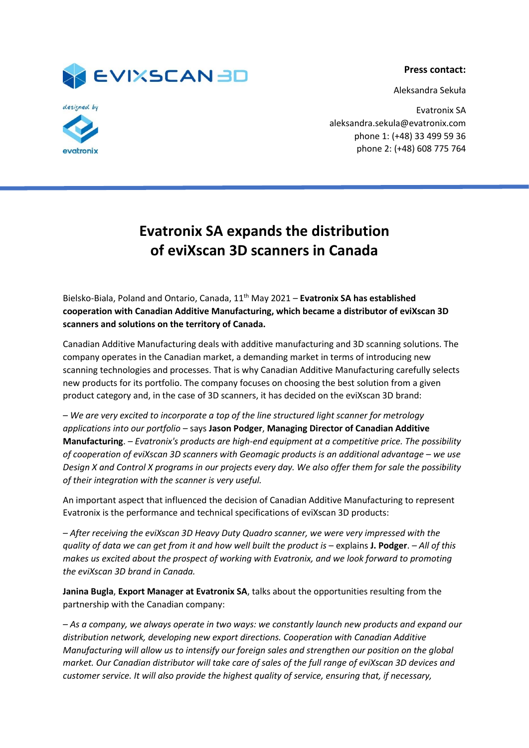

**Press contact:**

Aleksandra Sekuła



Evatronix SA aleksandra.sekula@evatronix.com phone 1: (+48) 33 499 59 36 phone 2: (+48) 608 775 764

## **Evatronix SA expands the distribution of eviXscan 3D scanners in Canada**

Bielsko-Biala, Poland and Ontario, Canada, 11th May 2021 – **Evatronix SA has established cooperation with Canadian Additive Manufacturing, which became a distributor of eviXscan 3D scanners and solutions on the territory of Canada.**

Canadian Additive Manufacturing deals with additive manufacturing and 3D scanning solutions. The company operates in the Canadian market, a demanding market in terms of introducing new scanning technologies and processes. That is why Canadian Additive Manufacturing carefully selects new products for its portfolio. The company focuses on choosing the best solution from a given product category and, in the case of 3D scanners, it has decided on the eviXscan 3D brand:

*– We are very excited to incorporate a top of the line structured light scanner for metrology applications into our portfolio* – says **Jason Podger**, **Managing Director of Canadian Additive Manufacturing**. – *Evatronix's products are high-end equipment at a competitive price. The possibility of cooperation of eviXscan 3D scanners with Geomagic products is an additional advantage – we use Design X and Control X programs in our projects every day. We also offer them for sale the possibility of their integration with the scanner is very useful.*

An important aspect that influenced the decision of Canadian Additive Manufacturing to represent Evatronix is the performance and technical specifications of eviXscan 3D products:

*– After receiving the eviXscan 3D Heavy Duty Quadro scanner, we were very impressed with the quality of data we can get from it and how well built the product is* – explains **J. Podger**. *– All of this makes us excited about the prospect of working with Evatronix, and we look forward to promoting the eviXscan 3D brand in Canada.*

**Janina Bugla**, **Export Manager at Evatronix SA**, talks about the opportunities resulting from the partnership with the Canadian company:

*– As a company, we always operate in two ways: we constantly launch new products and expand our distribution network, developing new export directions. Cooperation with Canadian Additive Manufacturing will allow us to intensify our foreign sales and strengthen our position on the global market. Our Canadian distributor will take care of sales of the full range of eviXscan 3D devices and customer service. It will also provide the highest quality of service, ensuring that, if necessary,*